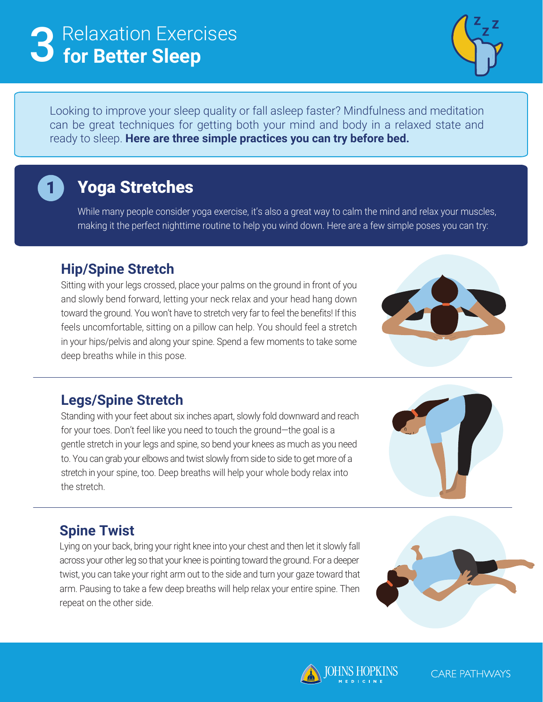# Relaxation Exercises 3 **for Better Sleep**



Looking to improve your sleep quality or fall asleep faster? Mindfulness and meditation can be great techniques for getting both your mind and body in a relaxed state and ready to sleep. **Here are three simple practices you can try before bed.**

## Yoga Stretches

1

While many people consider yoga exercise, it's also a great way to calm the mind and relax your muscles, making it the perfect nighttime routine to help you wind down. Here are a few simple poses you can try:

#### **Hip/Spine Stretch**

Sitting with your legs crossed, place your palms on the ground in front of you and slowly bend forward, letting your neck relax and your head hang down toward the ground. You won't have to stretch very far to feel the benefits! If this feels uncomfortable, sitting on a pillow can help. You should feel a stretch in your hips/pelvis and along your spine. Spend a few moments to take some deep breaths while in this pose.



#### **Legs/Spine Stretch**

Standing with your feet about six inches apart, slowly fold downward and reach for your toes. Don't feel like you need to touch the ground—the goal is a gentle stretch in your legs and spine, so bend your knees as much as you need to. You can grab your elbows and twist slowly from side to side to get more of a stretch in your spine, too. Deep breaths will help your whole body relax into the stretch.



#### **Spine Twist**

Lying on your back, bring your right knee into your chest and then let it slowly fall across your other leg so that your knee is pointing toward the ground. For a deeper twist, you can take your right arm out to the side and turn your gaze toward that arm. Pausing to take a few deep breaths will help relax your entire spine. Then repeat on the other side.





**CARE PATHWAYS**